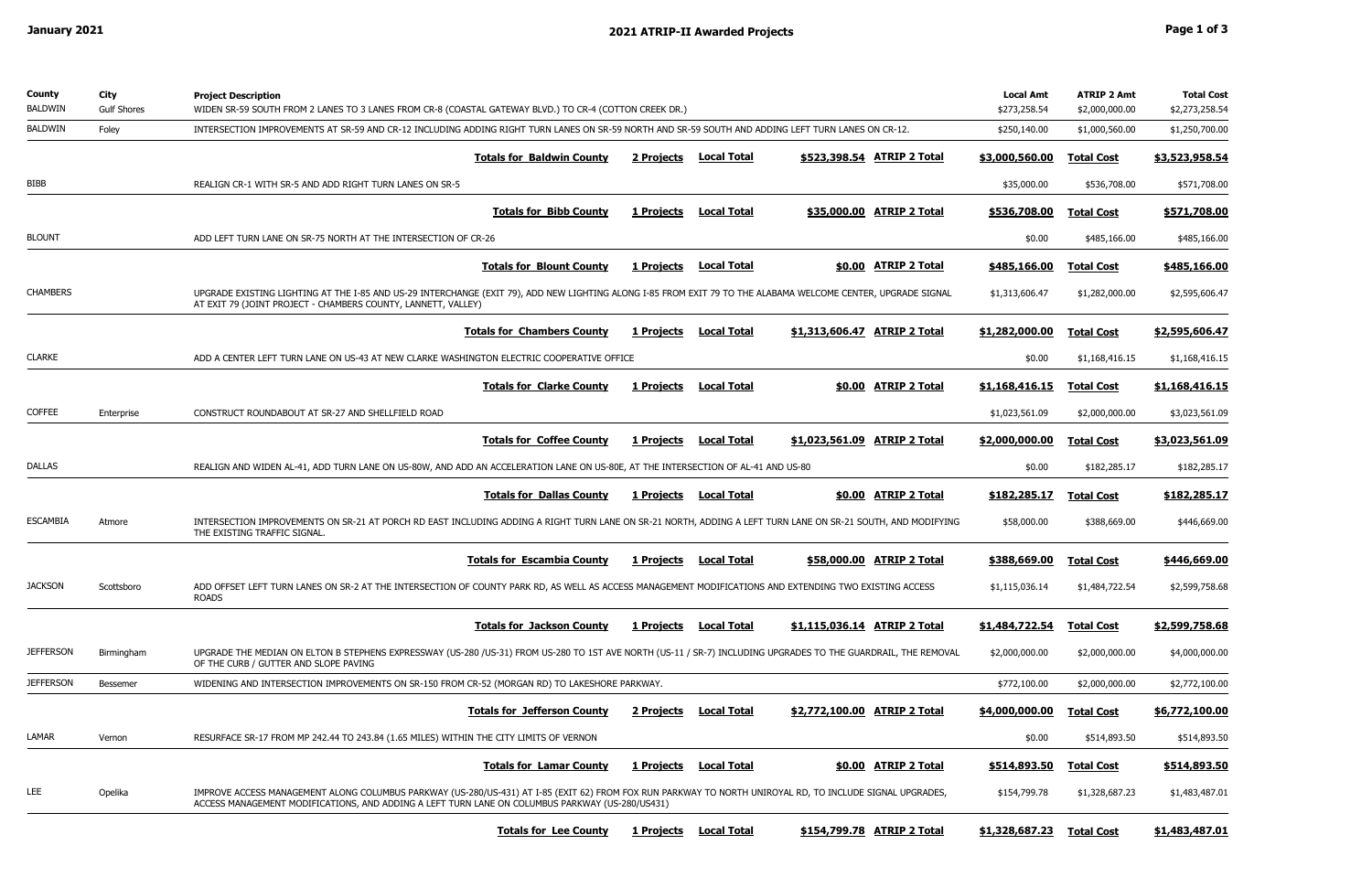## **<sup>2021</sup>ATRIP-II Awarded Project<sup>s</sup>**

| County<br><b>BALDWIN</b> | City<br><b>Gulf Shores</b> | <b>Project Description</b><br>WIDEN SR-59 SOUTH FROM 2 LANES TO 3 LANES FROM CR-8 (COASTAL GATEWAY BLVD.) TO CR-4 (COTTON CREEK DR.)                                                                                                                         | <b>Local Amt</b><br>\$273,258.54 | <b>ATRIP 2 Amt</b><br>\$2,000,000.00 | <b>Total Cost</b><br>\$2,273,258.54 |
|--------------------------|----------------------------|--------------------------------------------------------------------------------------------------------------------------------------------------------------------------------------------------------------------------------------------------------------|----------------------------------|--------------------------------------|-------------------------------------|
| BALDWIN                  | Foley                      | INTERSECTION IMPROVEMENTS AT SR-59 AND CR-12 INCLUDING ADDING RIGHT TURN LANES ON SR-59 NORTH AND SR-59 SOUTH AND ADDING LEFT TURN LANES ON CR-12.                                                                                                           | \$250,140.00                     | \$1,000,560.00                       | \$1,250,700.00                      |
|                          |                            | <b>Totals for Baldwin County</b><br>\$523,398.54 ATRIP 2 Total<br>2 Projects<br><u>Local Total</u>                                                                                                                                                           | \$3,000,560.00                   | <b>Total Cost</b>                    | \$3,523,958.54                      |
| BIBB                     |                            | REALIGN CR-1 WITH SR-5 AND ADD RIGHT TURN LANES ON SR-5                                                                                                                                                                                                      | \$35,000.00                      | \$536,708.00                         | \$571,708.00                        |
|                          |                            | <b>Totals for Bibb County</b><br>\$35,000.00 ATRIP 2 Total<br>1 Projects<br>Local Total                                                                                                                                                                      | \$536,708.00                     | <b>Total Cost</b>                    | \$571,708.00                        |
| <b>BLOUNT</b>            |                            | ADD LEFT TURN LANE ON SR-75 NORTH AT THE INTERSECTION OF CR-26                                                                                                                                                                                               | \$0.00                           | \$485,166.00                         | \$485,166.00                        |
|                          |                            | <b>ATRIP 2 Total</b><br><b>Local Total</b><br><b>Totals for Blount County</b><br><u>1 Projects</u><br>\$0.00                                                                                                                                                 | \$485,166.00                     | <b>Total Cost</b>                    | \$485,166.00                        |
| <b>CHAMBERS</b>          |                            | UPGRADE EXISTING LIGHTING AT THE I-85 AND US-29 INTERCHANGE (EXIT 79), ADD NEW LIGHTING ALONG I-85 FROM EXIT 79 TO THE ALABAMA WELCOME CENTER, UPGRADE SIGNAL<br>AT EXIT 79 (JOINT PROJECT - CHAMBERS COUNTY, LANNETT, VALLEY)                               | \$1,313,606.47                   | \$1,282,000.00                       | \$2,595,606.47                      |
|                          |                            | <b>Local Total</b><br>\$1,313,606.47 ATRIP 2 Total<br><b>Totals for Chambers County</b><br>1 Projects                                                                                                                                                        | \$1,282,000.00                   | <b>Total Cost</b>                    | \$2,595,606.47                      |
| CLARKE                   |                            | ADD A CENTER LEFT TURN LANE ON US-43 AT NEW CLARKE WASHINGTON ELECTRIC COOPERATIVE OFFICE                                                                                                                                                                    | \$0.00                           | \$1,168,416.15                       | \$1,168,416.15                      |
|                          |                            | \$0.00 ATRIP 2 Total<br><b>Totals for Clarke County</b><br><b>Local Total</b><br><u>1 Projects</u>                                                                                                                                                           | <u>\$1,168,416.15</u>            | <b>Total Cost</b>                    | \$1,168,416.15                      |
| <b>COFFEE</b>            | Enterprise                 | CONSTRUCT ROUNDABOUT AT SR-27 AND SHELLFIELD ROAD                                                                                                                                                                                                            | \$1,023,561.09                   | \$2,000,000.00                       | \$3,023,561.09                      |
|                          |                            | <b>Totals for Coffee County</b><br>\$1,023,561.09 ATRIP 2 Total<br><u>1 Projects</u><br><b>Local Total</b>                                                                                                                                                   | \$2,000,000.00                   | <b>Total Cost</b>                    | \$3,023,561.09                      |
| <b>DALLAS</b>            |                            | REALIGN AND WIDEN AL-41, ADD TURN LANE ON US-80W, AND ADD AN ACCELERATION LANE ON US-80E, AT THE INTERSECTION OF AL-41 AND US-80                                                                                                                             | \$0.00                           | \$182,285.17                         | \$182,285.17                        |
|                          |                            | <b>ATRIP 2 Total</b><br><b>Totals for Dallas County</b><br><b>Local Total</b><br><u>1 Projects</u><br>\$0.00                                                                                                                                                 | \$182,285.17                     | <u>Total Cost</u>                    | \$182,285.17                        |
| <b>ESCAMBIA</b>          | Atmore                     | INTERSECTION IMPROVEMENTS ON SR-21 AT PORCH RD EAST INCLUDING ADDING A RIGHT TURN LANE ON SR-21 NORTH, ADDING A LEFT TURN LANE ON SR-21 SOUTH, AND MODIFYING<br>THE EXISTING TRAFFIC SIGNAL.                                                                 | \$58,000.00                      | \$388,669.00                         | \$446,669.00                        |
|                          |                            | <b>ATRIP 2 Total</b><br><b>Totals for Escambia County</b><br>1 Projects<br><b>Local Total</b><br>\$58,000.00                                                                                                                                                 | \$388,669.00                     | <b>Total Cost</b>                    | \$446,669.00                        |
| <b>JACKSON</b>           | Scottsboro                 | ADD OFFSET LEFT TURN LANES ON SR-2 AT THE INTERSECTION OF COUNTY PARK RD, AS WELL AS ACCESS MANAGEMENT MODIFICATIONS AND EXTENDING TWO EXISTING ACCESS<br><b>ROADS</b>                                                                                       | \$1,115,036.14                   | \$1,484,722.54                       | \$2,599,758.68                      |
|                          |                            | <b>Totals for Jackson County</b><br><u>Local Total</u><br>\$1,115,036.14 ATRIP 2 Total<br><u>1 Projects</u>                                                                                                                                                  | \$1,484,722.54                   | <b>Total Cost</b>                    | \$2,599,758.68                      |
| <b>JEFFERSON</b>         | Birmingham                 | UPGRADE THE MEDIAN ON ELTON B STEPHENS EXPRESSWAY (US-280 /US-31) FROM US-280 TO 1ST AVE NORTH (US-11 / SR-7) INCLUDING UPGRADES TO THE GUARDRAIL, THE REMOVAL<br>OF THE CURB / GUTTER AND SLOPE PAVING                                                      | \$2,000,000.00                   | \$2,000,000.00                       | \$4,000,000.00                      |
| <b>JEFFERSON</b>         | Bessemer                   | WIDENING AND INTERSECTION IMPROVEMENTS ON SR-150 FROM CR-52 (MORGAN RD) TO LAKESHORE PARKWAY.                                                                                                                                                                | \$772,100.00                     | \$2,000,000.00                       | \$2,772,100.00                      |
|                          |                            | \$2,772,100.00 ATRIP 2 Total<br><b>Totals for Jefferson County</b><br><b>Local Total</b><br>2 Projects                                                                                                                                                       | <u>\$4,000,000.00</u>            | <b>Total Cost</b>                    | \$6,772,100.00                      |
| LAMAR                    | Vernon                     | RESURFACE SR-17 FROM MP 242.44 TO 243.84 (1.65 MILES) WITHIN THE CITY LIMITS OF VERNON                                                                                                                                                                       | \$0.00                           | \$514,893.50                         | \$514,893.50                        |
|                          |                            | <b>Local Total</b><br><b>ATRIP 2 Total</b><br>1 Projects<br>\$0.00<br><b>Totals for Lamar County</b>                                                                                                                                                         | \$514,893.50                     | <b>Total Cost</b>                    | \$514,893.50                        |
| LEE                      | Opelika                    | IMPROVE ACCESS MANAGEMENT ALONG COLUMBUS PARKWAY (US-280/US-431) AT I-85 (EXIT 62) FROM FOX RUN PARKWAY TO NORTH UNIROYAL RD, TO INCLUDE SIGNAL UPGRADES,<br>ACCESS MANAGEMENT MODIFICATIONS, AND ADDING A LEFT TURN LANE ON COLUMBUS PARKWAY (US-280/US431) | \$154,799.78                     | \$1,328,687.23                       | \$1,483,487.01                      |
|                          |                            | \$154,799.78 ATRIP 2 Total<br><b>Totals for Lee County</b><br><u>1 Projects</u><br><u>Local Total</u>                                                                                                                                                        | <u>\$1,328,687.23</u>            | <b>Total Cost</b>                    | \$1,483,487.01                      |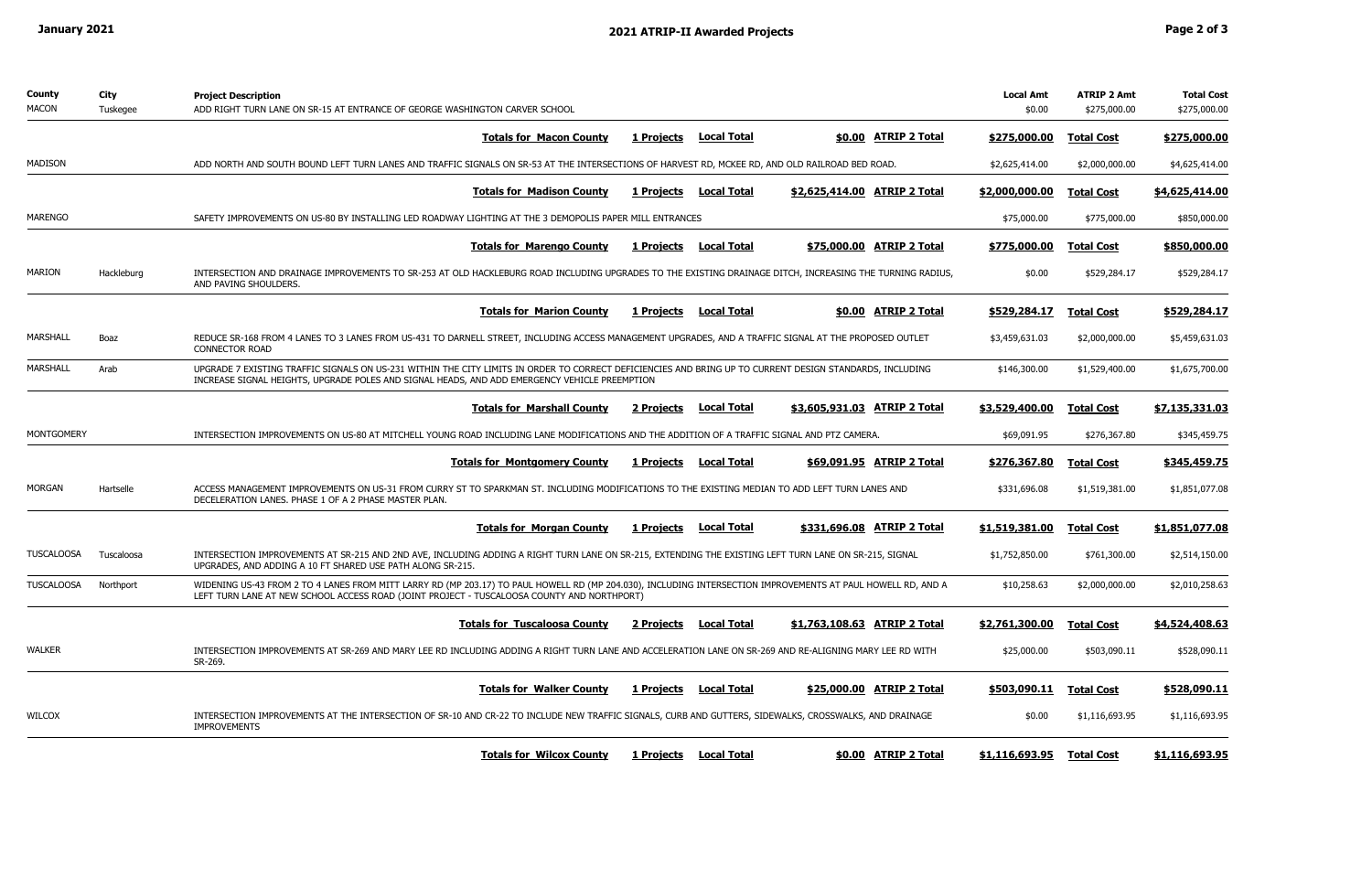| <b>County</b><br><b>MACON</b> | City<br>Tuskegee | <b>Project Description</b><br>ADD RIGHT TURN LANE ON SR-15 AT ENTRANCE OF GEORGE WASHINGTON CARVER SCHOOL                                                                                                                                                  | <b>Local Amt</b><br>\$0.00 | <b>ATRIP 2 Amt</b><br>\$275,000.00 | <b>Total Cost</b><br>\$275,000.00 |
|-------------------------------|------------------|------------------------------------------------------------------------------------------------------------------------------------------------------------------------------------------------------------------------------------------------------------|----------------------------|------------------------------------|-----------------------------------|
|                               |                  | <u>ATRIP 2 Total</u><br><b>Totals for Macon County</b><br><u>Local Total</u><br>\$0.00<br>1 Projects                                                                                                                                                       | \$275,000.00               | <b>Total Cost</b>                  | \$275,000.00                      |
| <b>MADISON</b>                |                  | ADD NORTH AND SOUTH BOUND LEFT TURN LANES AND TRAFFIC SIGNALS ON SR-53 AT THE INTERSECTIONS OF HARVEST RD, MCKEE RD, AND OLD RAILROAD BED ROAD.                                                                                                            | \$2,625,414.00             | \$2,000,000.00                     | \$4,625,414.00                    |
|                               |                  | <b>Totals for Madison County</b><br><u>ATRIP 2 Total</u><br><u>1 Projects</u><br><u>Local Total</u><br>\$2,625,414.00                                                                                                                                      | \$2,000,000.00             | <b>Total Cost</b>                  | \$4,625,414.00                    |
| MARENGO                       |                  | SAFETY IMPROVEMENTS ON US-80 BY INSTALLING LED ROADWAY LIGHTING AT THE 3 DEMOPOLIS PAPER MILL ENTRANCES                                                                                                                                                    | \$75,000.00                | \$775,000.00                       | \$850,000.00                      |
|                               |                  | \$75,000.00 ATRIP 2 Total<br><b>Totals for Marengo County</b><br><u>Local Total</u><br>1 Projects                                                                                                                                                          | \$775,000.00               | <b>Total Cost</b>                  | \$850,000.00                      |
| MARION                        | Hackleburg       | INTERSECTION AND DRAINAGE IMPROVEMENTS TO SR-253 AT OLD HACKLEBURG ROAD INCLUDING UPGRADES TO THE EXISTING DRAINAGE DITCH, INCREASING THE TURNING RADIUS,<br>AND PAVING SHOULDERS.                                                                         | \$0.00                     | \$529,284.17                       | \$529,284.17                      |
|                               |                  | <b>Totals for Marion County</b><br><u>ATRIP 2 Total</u><br>1 Projects<br><b>Local Total</b><br>\$0.00                                                                                                                                                      | <u>\$529,284.17</u>        | <b>Total Cost</b>                  | <u>\$529,284.17</u>               |
| <b>MARSHALL</b>               | Boaz             | REDUCE SR-168 FROM 4 LANES TO 3 LANES FROM US-431 TO DARNELL STREET, INCLUDING ACCESS MANAGEMENT UPGRADES, AND A TRAFFIC SIGNAL AT THE PROPOSED OUTLET<br><b>CONNECTOR ROAD</b>                                                                            | \$3,459,631.03             | \$2,000,000.00                     | \$5,459,631.03                    |
| <b>MARSHALL</b>               | Arab             | UPGRADE 7 EXISTING TRAFFIC SIGNALS ON US-231 WITHIN THE CITY LIMITS IN ORDER TO CORRECT DEFICIENCIES AND BRING UP TO CURRENT DESIGN STANDARDS, INCLUDING<br>INCREASE SIGNAL HEIGHTS, UPGRADE POLES AND SIGNAL HEADS, AND ADD EMERGENCY VEHICLE PREEMPTION  | \$146,300.00               | \$1,529,400.00                     | \$1,675,700.00                    |
|                               |                  | \$3,605,931.03 ATRIP 2 Total<br><b>Totals for Marshall County</b><br><b>Local Total</b><br>2 Projects                                                                                                                                                      | \$3,529,400.00             | <b>Total Cost</b>                  | \$7,135,331.03                    |
| <b>MONTGOMERY</b>             |                  | INTERSECTION IMPROVEMENTS ON US-80 AT MITCHELL YOUNG ROAD INCLUDING LANE MODIFICATIONS AND THE ADDITION OF A TRAFFIC SIGNAL AND PTZ CAMERA.                                                                                                                | \$69,091.95                | \$276,367.80                       | \$345,459.75                      |
|                               |                  | \$69,091.95 ATRIP 2 Total<br><b>Local Total</b><br><b>Totals for Montgomery County</b><br>1 Projects                                                                                                                                                       | \$276,367.80               | <b>Total Cost</b>                  | \$345,459.75                      |
| <b>MORGAN</b>                 | Hartselle        | ACCESS MANAGEMENT IMPROVEMENTS ON US-31 FROM CURRY ST TO SPARKMAN ST. INCLUDING MODIFICATIONS TO THE EXISTING MEDIAN TO ADD LEFT TURN LANES AND<br>DECELERATION LANES. PHASE 1 OF A 2 PHASE MASTER PLAN.                                                   | \$331,696.08               | \$1,519,381.00                     | \$1,851,077.08                    |
|                               |                  | <u>ATRIP 2 Total</u><br><b>Totals for Morgan County</b><br>1 Projects<br><u>Local Total</u><br>\$331,696.08                                                                                                                                                | \$1,519,381.00             | <b>Total Cost</b>                  | \$1,851,077.08                    |
| <b>TUSCALOOSA</b>             | Tuscaloosa       | INTERSECTION IMPROVEMENTS AT SR-215 AND 2ND AVE, INCLUDING ADDING A RIGHT TURN LANE ON SR-215, EXTENDING THE EXISTING LEFT TURN LANE ON SR-215, SIGNAL<br>UPGRADES, AND ADDING A 10 FT SHARED USE PATH ALONG SR-215.                                       | \$1,752,850.00             | \$761,300.00                       | \$2,514,150.00                    |
| TUSCALOOSA Northport          |                  | WIDENING US-43 FROM 2 TO 4 LANES FROM MITT LARRY RD (MP 203.17) TO PAUL HOWELL RD (MP 204.030), INCLUDING INTERSECTION IMPROVEMENTS AT PAUL HOWELL RD, AND A<br>LEFT TURN LANE AT NEW SCHOOL ACCESS ROAD (JOINT PROJECT - TUSCALOOSA COUNTY AND NORTHPORT) | \$10,258.63                | \$2,000,000.00                     | \$2,010,258.63                    |
|                               |                  | 2 Projects Local Total<br>\$1,763,108.63 ATRIP 2 Total<br><b>Totals for Tuscaloosa County</b>                                                                                                                                                              | \$2,761,300.00             | <b>Total Cost</b>                  | \$4,524,408.63                    |
| <b>WALKER</b>                 |                  | INTERSECTION IMPROVEMENTS AT SR-269 AND MARY LEE RD INCLUDING ADDING A RIGHT TURN LANE AND ACCELERATION LANE ON SR-269 AND RE-ALIGNING MARY LEE RD WITH<br>SR-269.                                                                                         | \$25,000.00                | \$503,090.11                       | \$528,090.11                      |
|                               |                  | <b>Totals for Walker County</b><br>\$25,000.00 ATRIP 2 Total<br>1 Projects Local Total                                                                                                                                                                     | \$503,090.11               | <b>Total Cost</b>                  | \$528,090.11                      |
| <b>WILCOX</b>                 |                  | INTERSECTION IMPROVEMENTS AT THE INTERSECTION OF SR-10 AND CR-22 TO INCLUDE NEW TRAFFIC SIGNALS, CURB AND GUTTERS, SIDEWALKS, CROSSWALKS, AND DRAINAGE<br><b>IMPROVEMENTS</b>                                                                              | \$0.00                     | \$1,116,693.95                     | \$1,116,693.95                    |
|                               |                  | \$0.00 ATRIP 2 Total<br><b>Totals for Wilcox County</b><br><b>Local Total</b><br><u>1 Projects</u>                                                                                                                                                         | \$1,116,693.95             | <u>Total Cost</u>                  | \$1,116,693.95                    |